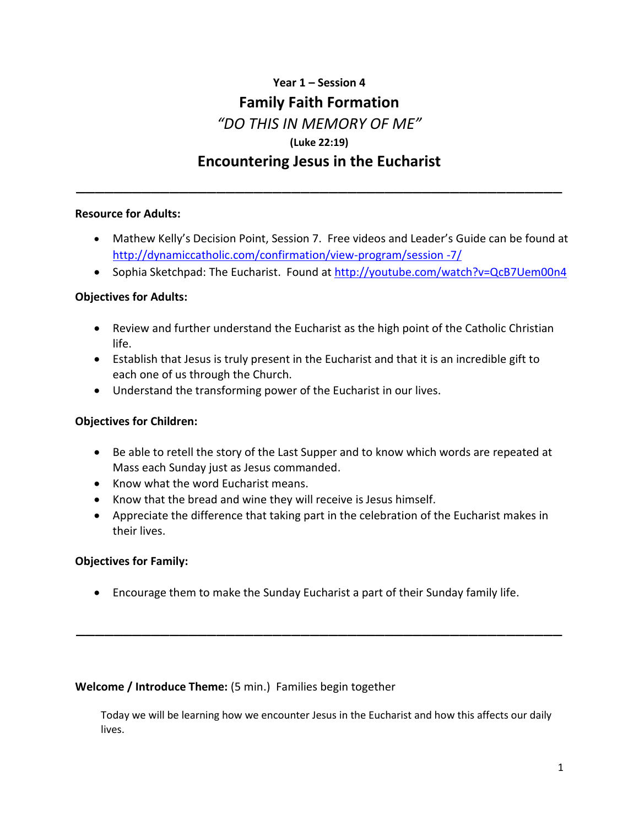# **Year 1 – Session 4 Family Faith Formation**  *"DO THIS IN MEMORY OF ME"* **(Luke 22:19) Encountering Jesus in the Eucharist**

\_\_\_\_\_\_\_\_\_\_\_\_\_\_\_\_\_\_\_\_\_\_\_\_\_\_\_\_\_\_\_\_\_\_\_\_\_\_\_\_\_\_\_\_\_\_\_\_\_\_\_\_

# **Resource for Adults:**

- Mathew Kelly's Decision Point, Session 7. Free videos and Leader's Guide can be found at [http://dynamiccatholic.com/confirmation/view-program/session -7/](http://dynamiccatholic.com/confirmation/view-program/session%20-7/)
- Sophia Sketchpad: The Eucharist. Found at<http://youtube.com/watch?v=QcB7Uem00n4>

# **Objectives for Adults:**

- Review and further understand the Eucharist as the high point of the Catholic Christian life.
- Establish that Jesus is truly present in the Eucharist and that it is an incredible gift to each one of us through the Church.
- Understand the transforming power of the Eucharist in our lives.

# **Objectives for Children:**

- Be able to retell the story of the Last Supper and to know which words are repeated at Mass each Sunday just as Jesus commanded.
- Know what the word Eucharist means.
- Know that the bread and wine they will receive is Jesus himself.
- Appreciate the difference that taking part in the celebration of the Eucharist makes in their lives.

# **Objectives for Family:**

Encourage them to make the Sunday Eucharist a part of their Sunday family life.

\_\_\_\_\_\_\_\_\_\_\_\_\_\_\_\_\_\_\_\_\_\_\_\_\_\_\_\_\_\_\_\_\_\_\_\_\_\_\_\_\_\_\_\_\_\_\_\_\_\_\_\_

## **Welcome / Introduce Theme:** (5 min.) Families begin together

Today we will be learning how we encounter Jesus in the Eucharist and how this affects our daily lives.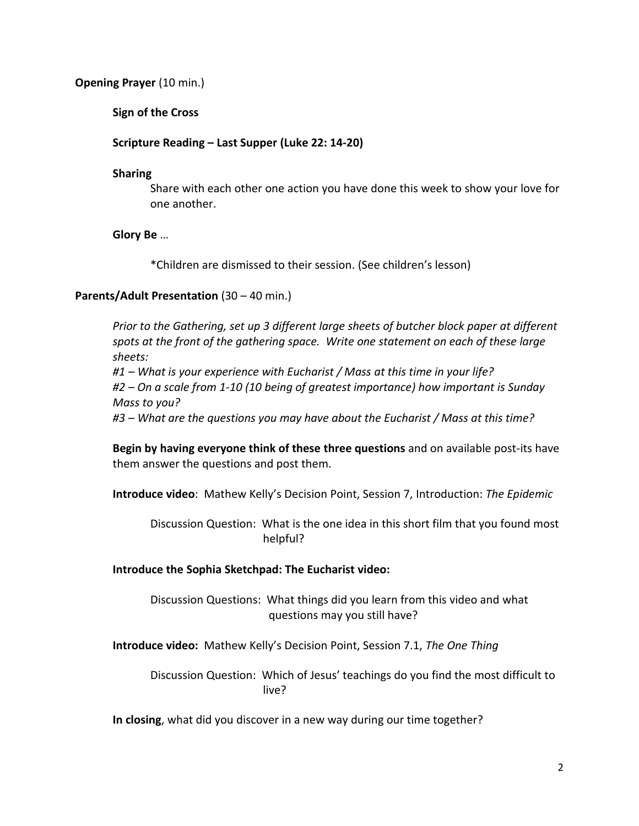## **Opening Prayer** (10 min.)

## **Sign of the Cross**

### **Scripture Reading – Last Supper (Luke 22: 14-20)**

#### **Sharing**

Share with each other one action you have done this week to show your love for one another.

### **Glory Be** …

\*Children are dismissed to their session. (See children's lesson)

#### **Parents/Adult Presentation** (30 – 40 min.)

*Prior to the Gathering, set up 3 different large sheets of butcher block paper at different spots at the front of the gathering space. Write one statement on each of these large sheets:*

*#1 – What is your experience with Eucharist / Mass at this time in your life? #2 – On a scale from 1-10 (10 being of greatest importance) how important is Sunday Mass to you?*

*#3 – What are the questions you may have about the Eucharist / Mass at this time?*

**Begin by having everyone think of these three questions** and on available post-its have them answer the questions and post them.

**Introduce video**: Mathew Kelly's Decision Point, Session 7, Introduction: *The Epidemic*

Discussion Question: What is the one idea in this short film that you found most helpful?

#### **Introduce the Sophia Sketchpad: The Eucharist video:**

Discussion Questions: What things did you learn from this video and what questions may you still have?

**Introduce video:** Mathew Kelly's Decision Point, Session 7.1, *The One Thing*

Discussion Question: Which of Jesus' teachings do you find the most difficult to live?

**In closing**, what did you discover in a new way during our time together?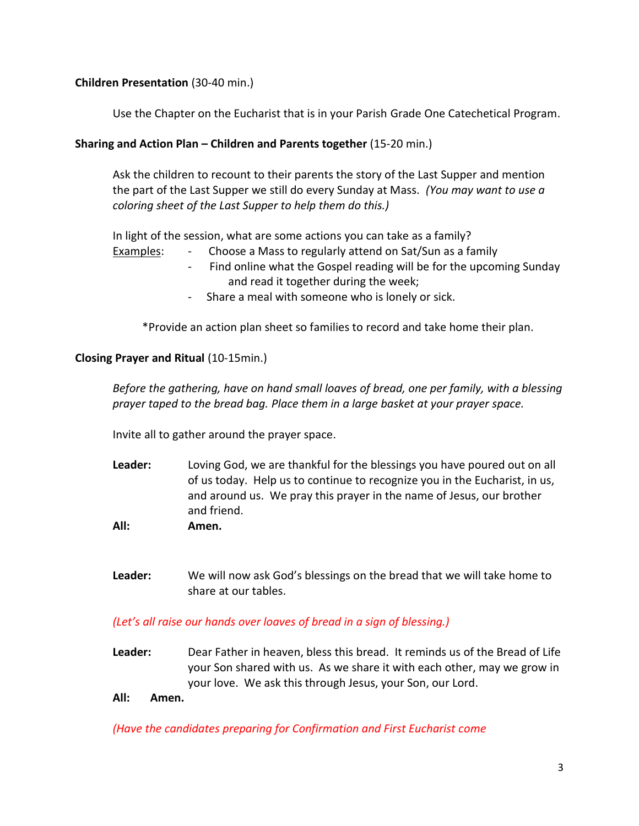# **Children Presentation** (30-40 min.)

Use the Chapter on the Eucharist that is in your Parish Grade One Catechetical Program.

# **Sharing and Action Plan – Children and Parents together** (15-20 min.)

Ask the children to recount to their parents the story of the Last Supper and mention the part of the Last Supper we still do every Sunday at Mass. *(You may want to use a coloring sheet of the Last Supper to help them do this.)*

In light of the session, what are some actions you can take as a family?

Examples: - Choose a Mass to regularly attend on Sat/Sun as a family

- Find online what the Gospel reading will be for the upcoming Sunday and read it together during the week;
- Share a meal with someone who is lonely or sick.

\*Provide an action plan sheet so families to record and take home their plan.

# **Closing Prayer and Ritual** (10-15min.)

*Before the gathering, have on hand small loaves of bread, one per family, with a blessing prayer taped to the bread bag. Place them in a large basket at your prayer space.*

Invite all to gather around the prayer space.

- **Leader:** Loving God, we are thankful for the blessings you have poured out on all of us today. Help us to continue to recognize you in the Eucharist, in us, and around us. We pray this prayer in the name of Jesus, our brother and friend.
- **All: Amen.**
- **Leader:** We will now ask God's blessings on the bread that we will take home to share at our tables.

## *(Let's all raise our hands over loaves of bread in a sign of blessing.)*

**Leader:** Dear Father in heaven, bless this bread. It reminds us of the Bread of Life your Son shared with us. As we share it with each other, may we grow in your love. We ask this through Jesus, your Son, our Lord.

# **All: Amen.**

*(Have the candidates preparing for Confirmation and First Eucharist come*